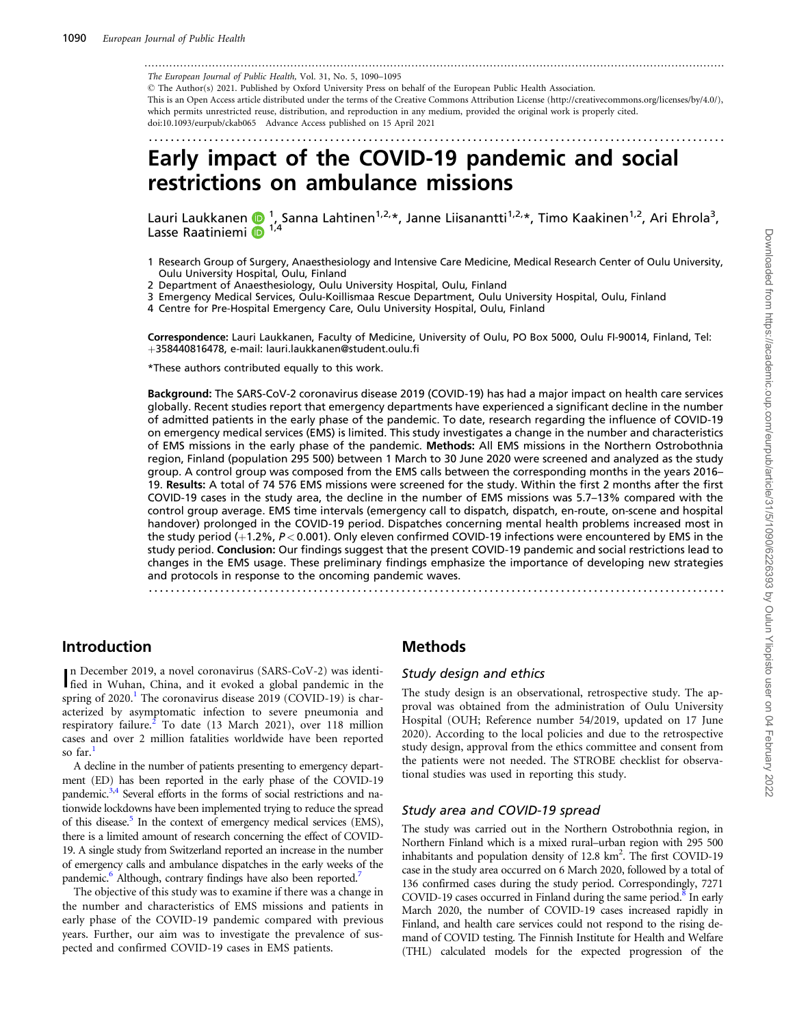<span id="page-0-0"></span>................................................................................................................................................................... The European Journal of Public Health, Vol. 31, No. 5, 1090–1095

- The Author(s) 2021. Published by Oxford University Press on behalf of the European Public Health Association. This is an Open Access article distributed under the terms of the Creative Commons Attribution License (http://creativecommons.org/licenses/by/4.0/), which permits unrestricted reuse, distribution, and reproduction in any medium, provided the original work is properly cited. doi:10.1093/eurpub/ckab065 Advance Access published on 15 April 2021

.........................................................................................................

# Early impact of the COVID-19 pandemic and social restrictions on ambulance missions

Lauri Laukkanen (D <sup>1</sup>, Sanna Lahtinen<sup>1,2,\*</sup>, Janne Liisanantti<sup>1,2,\*</sup>, Timo Kaakinen<sup>1,2</sup>, Ari Ehrola<sup>3</sup>, Lasse Raatiniemi  $\overline{1}^{1/4}$ 

- 1 Research Group of Surgery, Anaesthesiology and Intensive Care Medicine, Medical Research Center of Oulu University, Oulu University Hospital, Oulu, Finland
- 2 Department of Anaesthesiology, Oulu University Hospital, Oulu, Finland
- 3 Emergency Medical Services, Oulu-Koillismaa Rescue Department, Oulu University Hospital, Oulu, Finland
- 4 Centre for Pre-Hospital Emergency Care, Oulu University Hospital, Oulu, Finland

Correspondence: Lauri Laukkanen, Faculty of Medicine, University of Oulu, PO Box 5000, Oulu FI-90014, Finland, Tel: þ358440816478, e-mail: lauri.laukkanen@student.oulu.fi

\*These authors contributed equally to this work.

Background: The SARS-CoV-2 coronavirus disease 2019 (COVID-19) has had a major impact on health care services globally. Recent studies report that emergency departments have experienced a significant decline in the number of admitted patients in the early phase of the pandemic. To date, research regarding the influence of COVID-19 on emergency medical services (EMS) is limited. This study investigates a change in the number and characteristics of EMS missions in the early phase of the pandemic. Methods: All EMS missions in the Northern Ostrobothnia region, Finland (population 295 500) between 1 March to 30 June 2020 were screened and analyzed as the study group. A control group was composed from the EMS calls between the corresponding months in the years 2016– 19. Results: A total of 74 576 EMS missions were screened for the study. Within the first 2 months after the first COVID-19 cases in the study area, the decline in the number of EMS missions was 5.7–13% compared with the control group average. EMS time intervals (emergency call to dispatch, dispatch, en-route, on-scene and hospital handover) prolonged in the COVID-19 period. Dispatches concerning mental health problems increased most in the study period  $(+1.2\%, P < 0.001)$ . Only eleven confirmed COVID-19 infections were encountered by EMS in the study period. Conclusion: Our findings suggest that the present COVID-19 pandemic and social restrictions lead to changes in the EMS usage. These preliminary findings emphasize the importance of developing new strategies and protocols in response to the oncoming pandemic waves.

.........................................................................................................

### Introduction

In December 2019, a novel coronavirus (SARS-CoV-2) was identified in Wuhan, China, and it evoked a global pandemic in the n December 2019, a novel coronavirus (SARS-CoV-2) was identispring of  $2020$ .<sup>[1](#page-4-0)</sup> The coronavirus disease  $2019$  (COVID-19) is characterized by asymptomatic infection to severe pneumonia and respiratory failure.<sup>[2](#page-4-0)</sup> To date (13 March 2021), over 118 million cases and over 2 million fatalities worldwide have been reported so far.

A decline in the number of patients presenting to emergency department (ED) has been reported in the early phase of the COVID-19 pandemic.<sup>3,4</sup> Several efforts in the forms of social restrictions and nationwide lockdowns have been implemented trying to reduce the spread of this disease.<sup>[5](#page-5-0)</sup> In the context of emergency medical services (EMS), there is a limited amount of research concerning the effect of COVID-19. A single study from Switzerland reported an increase in the number of emergency calls and ambulance dispatches in the early weeks of the pandemic.<sup>6</sup> Although, contrary findings have also been reported.<sup>[7](#page-5-0)</sup>

The objective of this study was to examine if there was a change in the number and characteristics of EMS missions and patients in early phase of the COVID-19 pandemic compared with previous years. Further, our aim was to investigate the prevalence of suspected and confirmed COVID-19 cases in EMS patients.

### Methods

#### Study design and ethics

The study design is an observational, retrospective study. The approval was obtained from the administration of Oulu University Hospital (OUH; Reference number 54/2019, updated on 17 June 2020). According to the local policies and due to the retrospective study design, approval from the ethics committee and consent from the patients were not needed. The STROBE checklist for observational studies was used in reporting this study.

#### Study area and COVID-19 spread

The study was carried out in the Northern Ostrobothnia region, in Northern Finland which is a mixed rural–urban region with 295 500 inhabitants and population density of 12.8 km<sup>2</sup>. The first COVID-19 case in the study area occurred on 6 March 2020, followed by a total of 136 confirmed cases during the study period. Correspondingly, 7271 COVID-19 cases occurred in Finland during the same period. $8 \text{ In early}$ March 2020, the number of COVID-19 cases increased rapidly in Finland, and health care services could not respond to the rising demand of COVID testing. The Finnish Institute for Health and Welfare (THL) calculated models for the expected progression of the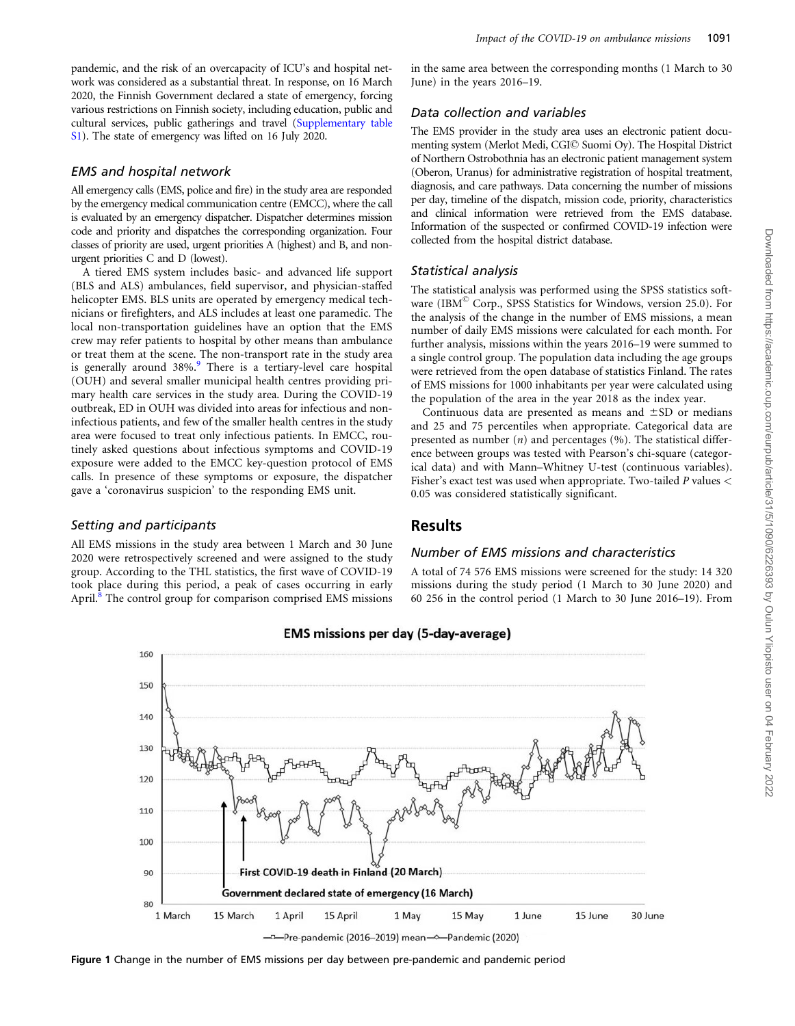<span id="page-1-0"></span>pandemic, and the risk of an overcapacity of ICU's and hospital network was considered as a substantial threat. In response, on 16 March 2020, the Finnish Government declared a state of emergency, forcing various restrictions on Finnish society, including education, public and cultural services, public gatherings and travel ([Supplementary table](https://academic.oup.com/eurpub/article-lookup/doi/10.1093/eurpub/ckab054#supplementary-data) [S1](https://academic.oup.com/eurpub/article-lookup/doi/10.1093/eurpub/ckab054#supplementary-data)). The state of emergency was lifted on 16 July 2020.

#### EMS and hospital network

All emergency calls (EMS, police and fire) in the study area are responded by the emergency medical communication centre (EMCC), where the call is evaluated by an emergency dispatcher. Dispatcher determines mission code and priority and dispatches the corresponding organization. Four classes of priority are used, urgent priorities A (highest) and B, and nonurgent priorities C and D (lowest).

A tiered EMS system includes basic- and advanced life support (BLS and ALS) ambulances, field supervisor, and physician-staffed helicopter EMS. BLS units are operated by emergency medical technicians or firefighters, and ALS includes at least one paramedic. The local non-transportation guidelines have an option that the EMS crew may refer patients to hospital by other means than ambulance or treat them at the scene. The non-transport rate in the study area is generally around  $38\%$ . There is a tertiary-level care hospital (OUH) and several smaller municipal health centres providing primary health care services in the study area. During the COVID-19 outbreak, ED in OUH was divided into areas for infectious and noninfectious patients, and few of the smaller health centres in the study area were focused to treat only infectious patients. In EMCC, routinely asked questions about infectious symptoms and COVID-19 exposure were added to the EMCC key-question protocol of EMS calls. In presence of these symptoms or exposure, the dispatcher gave a 'coronavirus suspicion' to the responding EMS unit.

#### Setting and participants

All EMS missions in the study area between 1 March and 30 June 2020 were retrospectively screened and were assigned to the study group. According to the THL statistics, the first wave of COVID-19 took place during this period, a peak of cases occurring in early April.<sup>[8](#page-5-0)</sup> The control group for comparison comprised EMS missions in the same area between the corresponding months (1 March to 30 June) in the years 2016–19.

#### Data collection and variables

The EMS provider in the study area uses an electronic patient documenting system (Merlot Medi, CGI© Suomi Oy). The Hospital District of Northern Ostrobothnia has an electronic patient management system (Oberon, Uranus) for administrative registration of hospital treatment, diagnosis, and care pathways. Data concerning the number of missions per day, timeline of the dispatch, mission code, priority, characteristics and clinical information were retrieved from the EMS database. Information of the suspected or confirmed COVID-19 infection were collected from the hospital district database.

#### Statistical analysis

The statistical analysis was performed using the SPSS statistics software (IBM<sup>©</sup> Corp., SPSS Statistics for Windows, version 25.0). For the analysis of the change in the number of EMS missions, a mean number of daily EMS missions were calculated for each month. For further analysis, missions within the years 2016–19 were summed to a single control group. The population data including the age groups were retrieved from the open database of statistics Finland. The rates of EMS missions for 1000 inhabitants per year were calculated using the population of the area in the year 2018 as the index year.

Continuous data are presented as means and  $\pm$ SD or medians and 25 and 75 percentiles when appropriate. Categorical data are presented as number  $(n)$  and percentages  $(\%)$ . The statistical difference between groups was tested with Pearson's chi-square (categorical data) and with Mann–Whitney U-test (continuous variables). Fisher's exact test was used when appropriate. Two-tailed P values < 0.05 was considered statistically significant.

### Results

#### Number of EMS missions and characteristics

A total of 74 576 EMS missions were screened for the study: 14 320 missions during the study period (1 March to 30 June 2020) and 60 256 in the control period (1 March to 30 June 2016–19). From



### **EMS missions per day (5-day-average)**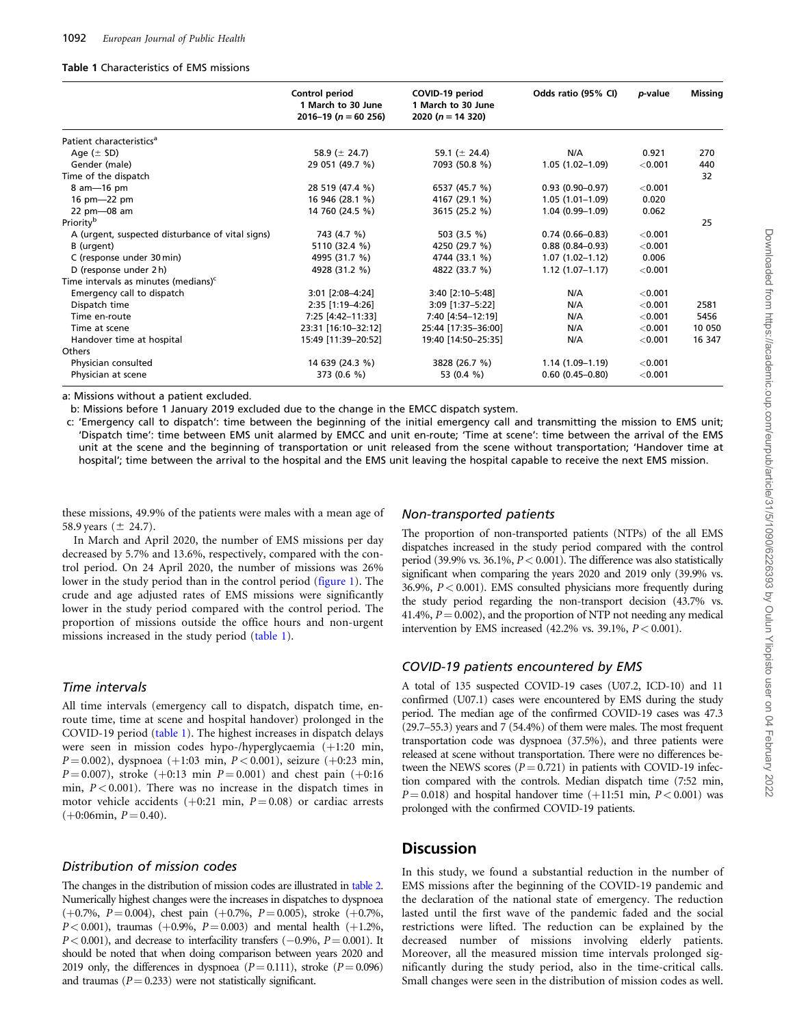#### Table 1 Characteristics of EMS missions

|                                                  | Control period<br>1 March to 30 June<br>$2016 - 19$ (n = 60 256) | COVID-19 period<br>1 March to 30 June<br>2020 ( $n = 14$ 320) | Odds ratio (95% CI) | p-value   | <b>Missing</b> |
|--------------------------------------------------|------------------------------------------------------------------|---------------------------------------------------------------|---------------------|-----------|----------------|
| Patient characteristics <sup>a</sup>             |                                                                  |                                                               |                     |           |                |
| Age $(\pm$ SD)                                   | 58.9 ( $\pm$ 24.7)                                               | 59.1 ( $\pm$ 24.4)                                            | N/A                 | 0.921     | 270            |
| Gender (male)                                    | 29 051 (49.7 %)                                                  | 7093 (50.8 %)                                                 | $1.05(1.02 - 1.09)$ | < 0.001   | 440            |
| Time of the dispatch                             |                                                                  |                                                               |                     |           | 32             |
| 8 am-16 pm                                       | 28 519 (47.4 %)                                                  | 6537 (45.7 %)                                                 | $0.93(0.90 - 0.97)$ | $<$ 0.001 |                |
| 16 pm-22 pm                                      | 16 946 (28.1 %)                                                  | 4167 (29.1 %)                                                 | $1.05(1.01-1.09)$   | 0.020     |                |
| 22 pm-08 am                                      | 14 760 (24.5 %)                                                  | 3615 (25.2 %)                                                 | $1.04(0.99 - 1.09)$ | 0.062     |                |
| Priority <sup>b</sup>                            |                                                                  |                                                               |                     |           | 25             |
| A (urgent, suspected disturbance of vital signs) | 743 (4.7 %)                                                      | 503 (3.5 %)                                                   | $0.74(0.66 - 0.83)$ | < 0.001   |                |
| B (urgent)                                       | 5110 (32.4 %)                                                    | 4250 (29.7 %)                                                 | $0.88(0.84 - 0.93)$ | < 0.001   |                |
| C (response under 30 min)                        | 4995 (31.7 %)                                                    | 4744 (33.1 %)                                                 | $1.07(1.02 - 1.12)$ | 0.006     |                |
| D (response under 2 h)                           | 4928 (31.2 %)                                                    | 4822 (33.7 %)                                                 | $1.12(1.07-1.17)$   | < 0.001   |                |
| Time intervals as minutes (medians) <sup>c</sup> |                                                                  |                                                               |                     |           |                |
| Emergency call to dispatch                       | 3:01 [2:08-4:24]                                                 | 3:40 [2:10-5:48]                                              | N/A                 | < 0.001   |                |
| Dispatch time                                    | 2:35 [1:19-4:26]                                                 | 3:09 [1:37-5:22]                                              | N/A                 | < 0.001   | 2581           |
| Time en-route                                    | 7:25 [4:42-11:33]                                                | 7:40 [4:54-12:19]                                             | N/A                 | < 0.001   | 5456           |
| Time at scene                                    | 23:31 [16:10-32:12]                                              | 25:44 [17:35-36:00]                                           | N/A                 | < 0.001   | 10 050         |
| Handover time at hospital                        | 15:49 [11:39-20:52]                                              | 19:40 [14:50-25:35]                                           | N/A                 | < 0.001   | 16 347         |
| Others                                           |                                                                  |                                                               |                     |           |                |
| Physician consulted                              | 14 639 (24.3 %)                                                  | 3828 (26.7 %)                                                 | $1.14(1.09-1.19)$   | < 0.001   |                |
| Physician at scene                               | 373 (0.6 %)                                                      | 53 (0.4 %)                                                    | $0.60(0.45 - 0.80)$ | $<$ 0.001 |                |

a: Missions without a patient excluded.

b: Missions before 1 January 2019 excluded due to the change in the EMCC dispatch system.

c: 'Emergency call to dispatch': time between the beginning of the initial emergency call and transmitting the mission to EMS unit; 'Dispatch time': time between EMS unit alarmed by EMCC and unit en-route; 'Time at scene': time between the arrival of the EMS unit at the scene and the beginning of transportation or unit released from the scene without transportation; 'Handover time at hospital'; time between the arrival to the hospital and the EMS unit leaving the hospital capable to receive the next EMS mission.

these missions, 49.9% of the patients were males with a mean age of 58.9 years  $(\pm 24.7)$ .

In March and April 2020, the number of EMS missions per day decreased by 5.7% and 13.6%, respectively, compared with the control period. On 24 April 2020, the number of missions was 26% lower in the study period than in the control period [\(figure 1](#page-1-0)). The crude and age adjusted rates of EMS missions were significantly lower in the study period compared with the control period. The proportion of missions outside the office hours and non-urgent missions increased in the study period (table 1).

#### Time intervals

All time intervals (emergency call to dispatch, dispatch time, enroute time, time at scene and hospital handover) prolonged in the COVID-19 period (table 1). The highest increases in dispatch delays were seen in mission codes hypo-/hyperglycaemia (+1:20 min,  $P = 0.002$ ), dyspnoea (+1:03 min,  $P < 0.001$ ), seizure (+0:23 min,  $P = 0.007$ ), stroke (+0:13 min  $P = 0.001$ ) and chest pain (+0:16 min,  $P < 0.001$ ). There was no increase in the dispatch times in motor vehicle accidents ( $+0.21$  min,  $P = 0.08$ ) or cardiac arrests  $(+0:06\text{min}, P = 0.40).$ 

#### Distribution of mission codes

The changes in the distribution of mission codes are illustrated in [table 2](#page-3-0). Numerically highest changes were the increases in dispatches to dyspnoea  $(+0.7\%, P=0.004)$ , chest pain  $(+0.7\%, P=0.005)$ , stroke  $(+0.7\%,$  $P < 0.001$ ), traumas (+0.9%,  $P = 0.003$ ) and mental health (+1.2%,  $P < 0.001$ ), and decrease to interfacility transfers  $(-0.9\%, P = 0.001)$ . It should be noted that when doing comparison between years 2020 and 2019 only, the differences in dyspnoea ( $P = 0.111$ ), stroke ( $P = 0.096$ ) and traumas ( $P = 0.233$ ) were not statistically significant.

#### Non-transported patients

The proportion of non-transported patients (NTPs) of the all EMS dispatches increased in the study period compared with the control period (39.9% vs. 36.1%,  $P < 0.001$ ). The difference was also statistically significant when comparing the years 2020 and 2019 only (39.9% vs. 36.9%, P< 0.001). EMS consulted physicians more frequently during the study period regarding the non-transport decision (43.7% vs. 41.4%,  $P = 0.002$ ), and the proportion of NTP not needing any medical intervention by EMS increased  $(42.2\%$  vs. 39.1%,  $P < 0.001$ ).

#### COVID-19 patients encountered by EMS

A total of 135 suspected COVID-19 cases (U07.2, ICD-10) and 11 confirmed (U07.1) cases were encountered by EMS during the study period. The median age of the confirmed COVID-19 cases was 47.3 (29.7–55.3) years and 7 (54.4%) of them were males. The most frequent transportation code was dyspnoea (37.5%), and three patients were released at scene without transportation. There were no differences between the NEWS scores  $(P = 0.721)$  in patients with COVID-19 infection compared with the controls. Median dispatch time (7:52 min,  $P = 0.018$ ) and hospital handover time (+11:51 min, P < 0.001) was prolonged with the confirmed COVID-19 patients.

### **Discussion**

In this study, we found a substantial reduction in the number of EMS missions after the beginning of the COVID-19 pandemic and the declaration of the national state of emergency. The reduction lasted until the first wave of the pandemic faded and the social restrictions were lifted. The reduction can be explained by the decreased number of missions involving elderly patients. Moreover, all the measured mission time intervals prolonged significantly during the study period, also in the time-critical calls. Small changes were seen in the distribution of mission codes as well.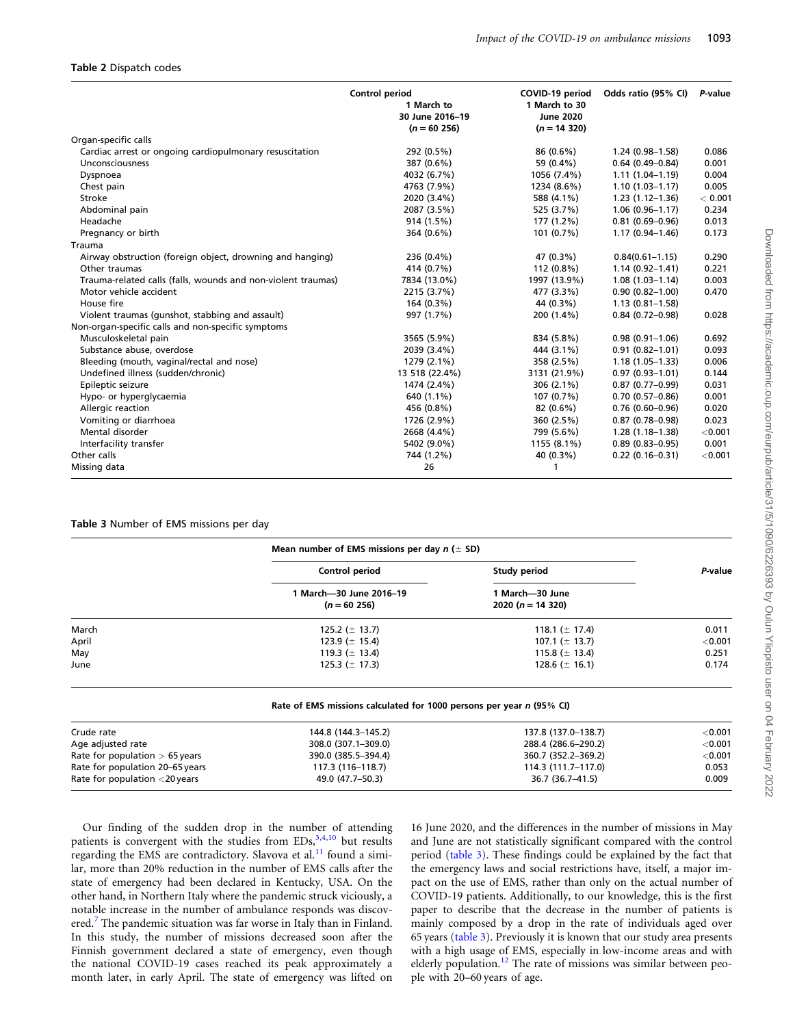#### <span id="page-3-0"></span>Table 2 Dispatch codes

|                                                              | Control period<br>1 March to<br>30 June 2016-19<br>$(n = 60 256)$ | COVID-19 period<br>1 March to 30<br><b>June 2020</b><br>$(n = 14 320)$ | Odds ratio (95% CI) | P-value |
|--------------------------------------------------------------|-------------------------------------------------------------------|------------------------------------------------------------------------|---------------------|---------|
| Organ-specific calls                                         |                                                                   |                                                                        |                     |         |
| Cardiac arrest or ongoing cardiopulmonary resuscitation      | 292 (0.5%)                                                        | 86 (0.6%)                                                              | 1.24 (0.98-1.58)    | 0.086   |
| Unconsciousness                                              | 387 (0.6%)                                                        | 59 (0.4%)                                                              | $0.64(0.49 - 0.84)$ | 0.001   |
| Dyspnoea                                                     | 4032 (6.7%)                                                       | 1056 (7.4%)                                                            | $1.11(1.04 - 1.19)$ | 0.004   |
| Chest pain                                                   | 4763 (7.9%)                                                       | 1234 (8.6%)                                                            | $1.10(1.03 - 1.17)$ | 0.005   |
| Stroke                                                       | 2020 (3.4%)                                                       | 588 (4.1%)                                                             | $1.23(1.12 - 1.36)$ | < 0.001 |
| Abdominal pain                                               | 2087 (3.5%)                                                       | 525 (3.7%)                                                             | $1.06(0.96 - 1.17)$ | 0.234   |
| Headache                                                     | 914 (1.5%)                                                        | 177 (1.2%)                                                             | $0.81(0.69 - 0.96)$ | 0.013   |
| Pregnancy or birth                                           | 364 (0.6%)                                                        | 101 (0.7%)                                                             | $1.17(0.94 - 1.46)$ | 0.173   |
| Trauma                                                       |                                                                   |                                                                        |                     |         |
| Airway obstruction (foreign object, drowning and hanging)    | 236 (0.4%)                                                        | 47 (0.3%)                                                              | $0.84(0.61 - 1.15)$ | 0.290   |
| Other traumas                                                | 414 (0.7%)                                                        | 112 (0.8%)                                                             | $1.14(0.92 - 1.41)$ | 0.221   |
| Trauma-related calls (falls, wounds and non-violent traumas) | 7834 (13.0%)                                                      | 1997 (13.9%)                                                           | $1.08(1.03 - 1.14)$ | 0.003   |
| Motor vehicle accident                                       | 2215 (3.7%)                                                       | 477 (3.3%)                                                             | $0.90(0.82 - 1.00)$ | 0.470   |
| House fire                                                   | 164 (0.3%)                                                        | 44 (0.3%)                                                              | $1.13(0.81 - 1.58)$ |         |
| Violent traumas (gunshot, stabbing and assault)              | 997 (1.7%)                                                        | 200 (1.4%)                                                             | $0.84(0.72 - 0.98)$ | 0.028   |
| Non-organ-specific calls and non-specific symptoms           |                                                                   |                                                                        |                     |         |
| Musculoskeletal pain                                         | 3565 (5.9%)                                                       | 834 (5.8%)                                                             | $0.98(0.91 - 1.06)$ | 0.692   |
| Substance abuse, overdose                                    | 2039 (3.4%)                                                       | 444 (3.1%)                                                             | $0.91(0.82 - 1.01)$ | 0.093   |
| Bleeding (mouth, vaginal/rectal and nose)                    | 1279 (2.1%)                                                       | 358 (2.5%)                                                             | $1.18(1.05 - 1.33)$ | 0.006   |
| Undefined illness (sudden/chronic)                           | 13 518 (22.4%)                                                    | 3131 (21.9%)                                                           | $0.97(0.93 - 1.01)$ | 0.144   |
| Epileptic seizure                                            | 1474 (2.4%)                                                       | $306(2.1\%)$                                                           | $0.87(0.77-0.99)$   | 0.031   |
| Hypo- or hyperglycaemia                                      | 640 (1.1%)                                                        | 107 (0.7%)                                                             | $0.70(0.57 - 0.86)$ | 0.001   |
| Allergic reaction                                            | 456 (0.8%)                                                        | 82 (0.6%)                                                              | $0.76(0.60 - 0.96)$ | 0.020   |
| Vomiting or diarrhoea                                        | 1726 (2.9%)                                                       | 360 (2.5%)                                                             | $0.87(0.78 - 0.98)$ | 0.023   |
| Mental disorder                                              | 2668 (4.4%)                                                       | 799 (5.6%)                                                             | $1.28(1.18-1.38)$   | < 0.001 |
| Interfacility transfer                                       | 5402 (9.0%)                                                       | 1155 (8.1%)                                                            | $0.89(0.83 - 0.95)$ | 0.001   |
| Other calls                                                  | 744 (1.2%)                                                        | 40 (0.3%)                                                              | $0.22(0.16 - 0.31)$ | < 0.001 |
| Missing data                                                 | 26                                                                |                                                                        |                     |         |

#### Table 3 Number of EMS missions per day

|                                           | Mean number of EMS missions per day $n (\pm SD)$ |         |
|-------------------------------------------|--------------------------------------------------|---------|
| Control period                            | Study period                                     | P-value |
| 1 March—30 June 2016–19<br>$(n = 60 256)$ | 1 March-30 June<br>2020 ( $n = 14$ 320)          |         |
| 125.2 ( $\pm$ 13.7)                       | 118.1 ( $\pm$ 17.4)                              | 0.011   |
| 123.9 ( $\pm$ 15.4)                       | 107.1 ( $\pm$ 13.7)                              | < 0.001 |
| 119.3 ( $\pm$ 13.4)                       | 115.8 ( $\pm$ 13.4)                              | 0.251   |
| 125.3 ( $\pm$ 17.3)                       | 128.6 ( $\pm$ 16.1)                              | 0.174   |
|                                           |                                                  |         |

| Rate of EMS missions calculated for 1000 persons per year n (95% CI) |  |  |  |  |
|----------------------------------------------------------------------|--|--|--|--|
|----------------------------------------------------------------------|--|--|--|--|

| Crude rate                       | 144.8 (144.3-145.2) | 137.8 (137.0-138.7) | $<$ 0.001 |
|----------------------------------|---------------------|---------------------|-----------|
| Age adjusted rate                | 308.0 (307.1-309.0) | 288.4 (286.6–290.2) | $<$ 0.001 |
| Rate for population $> 65$ years | 390.0 (385.5-394.4) | 360.7 (352.2–369.2) | < 0.001   |
| Rate for population 20-65 years  | 117.3 (116-118.7)   | 114.3 (111.7-117.0) | 0.053     |
| Rate for population $<$ 20 years | 49.0 (47.7–50.3)    | 36.7 (36.7-41.5)    | 0.009     |

Our finding of the sudden drop in the number of attending patients is convergent with the studies from  $EDs$ ,<sup>[3](#page-5-0),[4](#page-5-0),[10](#page-5-0)</sup> but results regarding the EMS are contradictory. Slavova et al.<sup>[11](#page-5-0)</sup> found a similar, more than 20% reduction in the number of EMS calls after the state of emergency had been declared in Kentucky, USA. On the other hand, in Northern Italy where the pandemic struck viciously, a notable increase in the number of ambulance responds was discov-ered.<sup>[7](#page-5-0)</sup> The pandemic situation was far worse in Italy than in Finland. In this study, the number of missions decreased soon after the Finnish government declared a state of emergency, even though the national COVID-19 cases reached its peak approximately a month later, in early April. The state of emergency was lifted on 16 June 2020, and the differences in the number of missions in May and June are not statistically significant compared with the control period (table 3). These findings could be explained by the fact that the emergency laws and social restrictions have, itself, a major impact on the use of EMS, rather than only on the actual number of COVID-19 patients. Additionally, to our knowledge, this is the first paper to describe that the decrease in the number of patients is mainly composed by a drop in the rate of individuals aged over 65 years (table 3). Previously it is known that our study area presents with a high usage of EMS, especially in low-income areas and with elderly population.<sup>[12](#page-5-0)</sup> The rate of missions was similar between people with 20–60 years of age.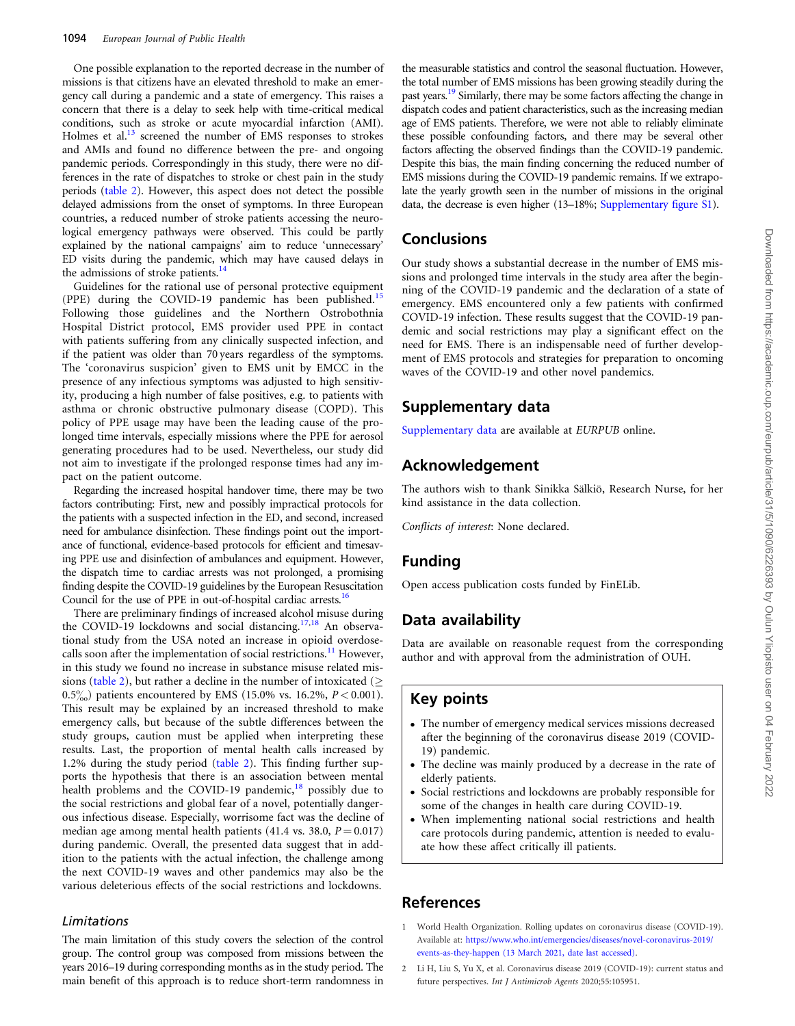<span id="page-4-0"></span>One possible explanation to the reported decrease in the number of missions is that citizens have an elevated threshold to make an emergency call during a pandemic and a state of emergency. This raises a concern that there is a delay to seek help with time-critical medical conditions, such as stroke or acute myocardial infarction (AMI). Holmes et al.<sup>13</sup> screened the number of EMS responses to strokes and AMIs and found no difference between the pre- and ongoing pandemic periods. Correspondingly in this study, there were no differences in the rate of dispatches to stroke or chest pain in the study periods ([table 2](#page-3-0)). However, this aspect does not detect the possible delayed admissions from the onset of symptoms. In three European countries, a reduced number of stroke patients accessing the neurological emergency pathways were observed. This could be partly explained by the national campaigns' aim to reduce 'unnecessary' ED visits during the pandemic, which may have caused delays in the admissions of stroke patients.<sup>14</sup>

Guidelines for the rational use of personal protective equipment (PPE) during the COVID-19 pandemic has been published.<sup>[15](#page-5-0)</sup> Following those guidelines and the Northern Ostrobothnia Hospital District protocol, EMS provider used PPE in contact with patients suffering from any clinically suspected infection, and if the patient was older than 70 years regardless of the symptoms. The 'coronavirus suspicion' given to EMS unit by EMCC in the presence of any infectious symptoms was adjusted to high sensitivity, producing a high number of false positives, e.g. to patients with asthma or chronic obstructive pulmonary disease (COPD). This policy of PPE usage may have been the leading cause of the prolonged time intervals, especially missions where the PPE for aerosol generating procedures had to be used. Nevertheless, our study did not aim to investigate if the prolonged response times had any impact on the patient outcome.

Regarding the increased hospital handover time, there may be two factors contributing: First, new and possibly impractical protocols for the patients with a suspected infection in the ED, and second, increased need for ambulance disinfection. These findings point out the importance of functional, evidence-based protocols for efficient and timesaving PPE use and disinfection of ambulances and equipment. However, the dispatch time to cardiac arrests was not prolonged, a promising finding despite the COVID-19 guidelines by the European Resuscitation Council for the use of PPE in out-of-hospital cardiac arrests.<sup>16</sup>

There are preliminary findings of increased alcohol misuse during the COVID-19 lockdowns and social distancing.<sup>[17,18](#page-5-0)</sup> An observational study from the USA noted an increase in opioid overdose-calls soon after the implementation of social restrictions.<sup>[11](#page-5-0)</sup> However, in this study we found no increase in substance misuse related mis-sions [\(table 2](#page-3-0)), but rather a decline in the number of intoxicated ( $\geq$ 0.5%) patients encountered by EMS (15.0% vs. 16.2%,  $P < 0.001$ ). This result may be explained by an increased threshold to make emergency calls, but because of the subtle differences between the study groups, caution must be applied when interpreting these results. Last, the proportion of mental health calls increased by 1.2% during the study period ([table 2](#page-3-0)). This finding further supports the hypothesis that there is an association between mental health problems and the COVID-19 pandemic, $18$  possibly due to the social restrictions and global fear of a novel, potentially dangerous infectious disease. Especially, worrisome fact was the decline of median age among mental health patients (41.4 vs. 38.0,  $P = 0.017$ ) during pandemic. Overall, the presented data suggest that in addition to the patients with the actual infection, the challenge among the next COVID-19 waves and other pandemics may also be the various deleterious effects of the social restrictions and lockdowns.

#### Limitations

The main limitation of this study covers the selection of the control group. The control group was composed from missions between the years 2016–19 during corresponding months as in the study period. The main benefit of this approach is to reduce short-term randomness in

the measurable statistics and control the seasonal fluctuation. However, the total number of EMS missions has been growing steadily during the past years.<sup>19</sup> Similarly, there may be some factors affecting the change in dispatch codes and patient characteristics, such as the increasing median age of EMS patients. Therefore, we were not able to reliably eliminate these possible confounding factors, and there may be several other factors affecting the observed findings than the COVID-19 pandemic. Despite this bias, the main finding concerning the reduced number of EMS missions during the COVID-19 pandemic remains. If we extrapolate the yearly growth seen in the number of missions in the original data, the decrease is even higher (13–18%; [Supplementary figure S1\)](https://academic.oup.com/eurpub/article-lookup/doi/10.1093/eurpub/ckab054#supplementary-data).

### **Conclusions**

Our study shows a substantial decrease in the number of EMS missions and prolonged time intervals in the study area after the beginning of the COVID-19 pandemic and the declaration of a state of emergency. EMS encountered only a few patients with confirmed COVID-19 infection. These results suggest that the COVID-19 pandemic and social restrictions may play a significant effect on the need for EMS. There is an indispensable need of further development of EMS protocols and strategies for preparation to oncoming waves of the COVID-19 and other novel pandemics.

### Supplementary data

[Supplementary data](https://academic.oup.com/eurpub/article-lookup/doi/10.1093/eurpub/ckab054#supplementary-data) are available at EURPUB online.

### Acknowledgement

The authors wish to thank Sinikka Sälkiö, Research Nurse, for her kind assistance in the data collection.

Conflicts of interest: None declared.

### Funding

Open access publication costs funded by FinELib.

### Data availability

Data are available on reasonable request from the corresponding author and with approval from the administration of OUH.

### Key points

- The number of emergency medical services missions decreased after the beginning of the coronavirus disease 2019 (COVID-19) pandemic.
- The decline was mainly produced by a decrease in the rate of elderly patients.
- Social restrictions and lockdowns are probably responsible for some of the changes in health care during COVID-19.
- When implementing national social restrictions and health care protocols during pandemic, attention is needed to evaluate how these affect critically ill patients.

### References

- [1](#page-0-0) World Health Organization. Rolling updates on coronavirus disease (COVID-19). Available at: [https://www.who.int/emergencies/diseases/novel-coronavirus-2019/](https://www.who.int/emergencies/diseases/novel-coronavirus-2019/events-as-they-happen (6 October 2020, date last accessed)) [events-as-they-happen \(13 March 2021, date last accessed\).](https://www.who.int/emergencies/diseases/novel-coronavirus-2019/events-as-they-happen (6 October 2020, date last accessed))
- [2](#page-0-0) Li H, Liu S, Yu X, et al. Coronavirus disease 2019 (COVID-19): current status and future perspectives. Int J Antimicrob Agents 2020;55:105951.